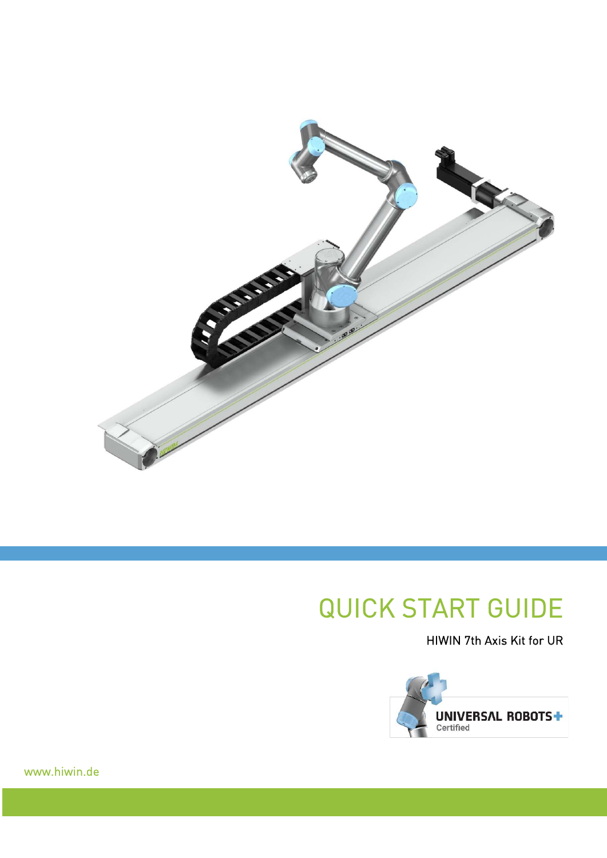

# QUICK START GUIDE

HIWIN 7th Axis Kit for UR



www.hiwin.de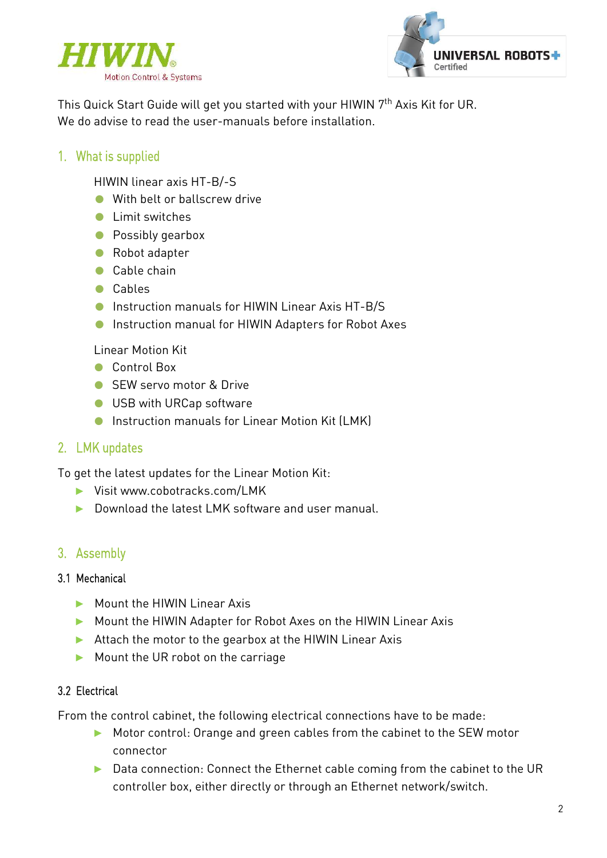



This Quick Start Guide will get you started with your HIWIN 7<sup>th</sup> Axis Kit for UR. We do advise to read the user-manuals before installation.

## 1. What is supplied

HIWIN linear axis HT-B/-S

- With belt or ballscrew drive
- Limit switches
- Possibly gearbox
- Robot adapter
- Cable chain
- Cables
- Instruction manuals for HIWIN Linear Axis HT-B/S
- Instruction manual for HIWIN Adapters for Robot Axes

Linear Motion Kit

- Control Box
- SEW servo motor & Drive
- USB with URCap software
- Instruction manuals for Linear Motion Kit (LMK)

## 2. LMK updates

To get the latest updates for the Linear Motion Kit:

- ► Visit www.cobotracks.com/LMK
- ► Download the latest LMK software and user manual.

## 3. Assembly

#### 3.1 Mechanical

- ► Mount the HIWIN Linear Axis
- ► Mount the HIWIN Adapter for Robot Axes on the HIWIN Linear Axis
- ► Attach the motor to the gearbox at the HIWIN Linear Axis
- ► Mount the UR robot on the carriage

#### 3.2 Electrical

From the control cabinet, the following electrical connections have to be made:

- ► Motor control: Orange and green cables from the cabinet to the SEW motor connector
- ► Data connection: Connect the Ethernet cable coming from the cabinet to the UR controller box, either directly or through an Ethernet network/switch.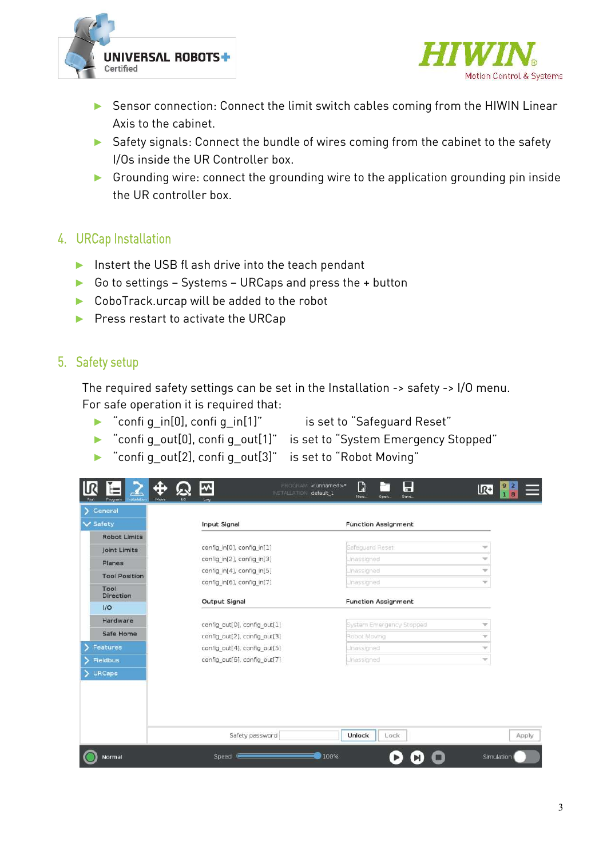



- ► Sensor connection: Connect the limit switch cables coming from the HIWIN Linear Axis to the cabinet.
- ► Safety signals: Connect the bundle of wires coming from the cabinet to the safety I/Os inside the UR Controller box.
- ► Grounding wire: connect the grounding wire to the application grounding pin inside the UR controller box.

### 4. URCap Installation

- ► Instert the USB fl ash drive into the teach pendant
- ► Go to settings Systems URCaps and press the + button
- ► CoboTrack.urcap will be added to the robot
- ► Press restart to activate the URCap

## 5. Safety setup

The required safety settings can be set in the Installation -> safety -> I/O menu. For safe operation it is required that:

► "confi g\_in[0], confi g\_in[1]" is set to "Safeguard Reset"

- ► "confi g\_out[0], confi g\_out[1]" is set to "System Emergency Stopped"
- ► "confi g\_out[2], confi g\_out[3]" is set to "Robot Moving"

| General              |                              |                            |                          |
|----------------------|------------------------------|----------------------------|--------------------------|
| $\vee$ Safety        | Input Signal                 | <b>Function Assignment</b> |                          |
| <b>Robot Limits</b>  |                              |                            |                          |
| <b>Joint Limits</b>  | config in[0], config in[1]   | Safeguard Reset            | Ψ                        |
| Planes               | config in[2], config in[3]   | Unassigned                 | $\overline{\phantom{a}}$ |
| <b>Tool Position</b> | config in[4], config in[5]   | Unassigned                 | v                        |
| Tool                 | config in[6], config in[7]   | Unassigned                 | $\overline{\phantom{a}}$ |
| <b>Direction</b>     | Output Signal                | <b>Function Assignment</b> |                          |
| I/O                  |                              |                            |                          |
| Hardware             | config out[0], config out[1] | System Emergency Stopped   | v                        |
| Safe Home            | config out[2], config out[3] | Robot Moving               | w.                       |
| Features             | config out[4], config out[5] | Unassigned                 | w.                       |
| <b>Fieldbus</b>      | config_out[6], config_out[7] | Unassigned                 | $\overline{\mathcal{M}}$ |
| <b>URCaps</b>        |                              |                            |                          |
|                      | Safety password              | Unlock<br>Lock             |                          |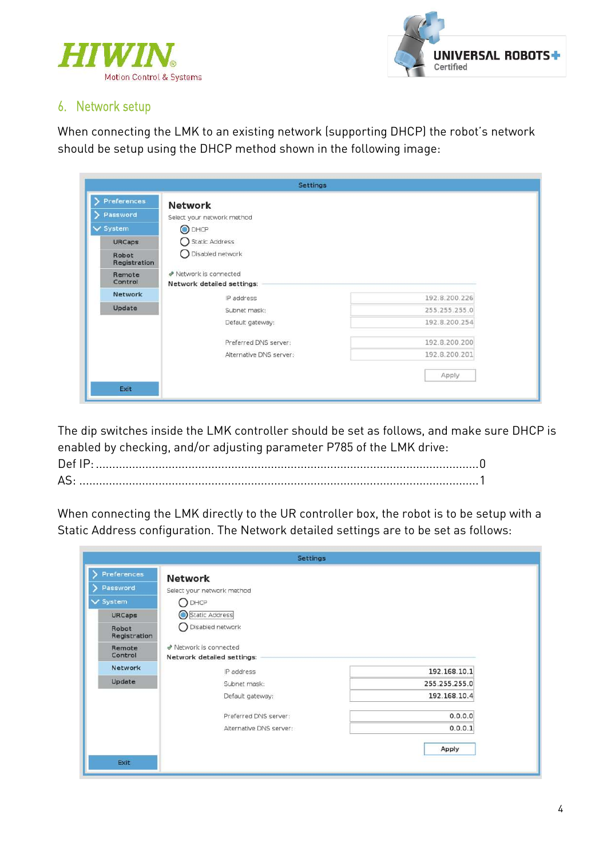



### 6. Network setup

When connecting the LMK to an existing network (supporting DHCP) the robot's network should be setup using the DHCP method shown in the following image:

| <b>Preferences</b>    | <b>Network</b>             |               |
|-----------------------|----------------------------|---------------|
| Password              | Select your network method |               |
| V System              | O DHCP                     |               |
| <b>URCaps</b>         | <b>Static Address</b>      |               |
| Robot<br>Registration | Disabled network           |               |
| Remote                | ◆ Network is connected     |               |
| Control               | Network detailed settings: |               |
|                       |                            |               |
| Network               | IP address                 | 192.8.200.226 |
| Update                | Subnet mask:               | 255.255.255.0 |
|                       | Default gateway:           | 192.8.200.254 |
|                       | Preferred DNS server:      | 192.8.200.200 |
|                       | Alternative DNS server:    | 192.8.200.201 |

The dip switches inside the LMK controller should be set as follows, and make sure DHCP is enabled by checking, and/or adjusting parameter P785 of the LMK drive:

When connecting the LMK directly to the UR controller box, the robot is to be setup with a Static Address configuration. The Network detailed settings are to be set as follows:

| Preferences<br><b>Network</b> |                            |               |
|-------------------------------|----------------------------|---------------|
| Password                      | Select your network method |               |
| V System                      | $\bigcap$ DHCP             |               |
| <b>URCaps</b>                 | <b>Static Address</b>      |               |
| Robot<br>Registration         | Disabled network           |               |
| Remote                        | Network is connected       |               |
| Control                       | Network detailed settings: |               |
|                               |                            |               |
| Network                       | IP address                 | 192.168.10.1  |
| Update                        | Subnet mask:               | 255.255.255.0 |
|                               | Default gateway:           | 192.168.10.4  |
|                               | Preferred DNS server:      | 0.0.0.0       |
|                               | Alternative DNS server:    | 0.0.0.1       |